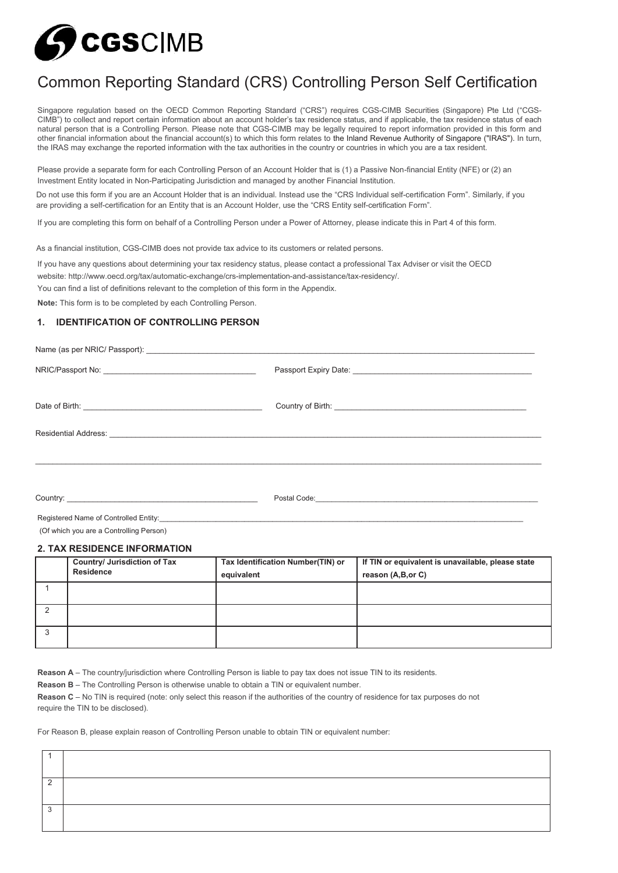

# Common Reporting Standard (CRS) Controlling Person Self Certification

Singapore regulation based on the OECD Common Reporting Standard ("CRS") requires CGS-CIMB Securities (Singapore) Pte Ltd ("CGS-CIMB") to collect and report certain information about an account holder's tax residence status, and if applicable, the tax residence status of each natural person that is a Controlling Person. Please note that CGS-CIMB may be legally required to report information provided in this form and other financial information about the financial account(s) to which this form relates to the Inland Revenue Authority of Singapore ("IRAS"). In turn, the IRAS may exchange the reported information with the tax authorities in the country or countries in which you are a tax resident.

Please provide a separate form for each Controlling Person of an Account Holder that is (1) a Passive Non-financial Entity (NFE) or (2) an Investment Entity located in Non-Participating Jurisdiction and managed by another Financial Institution.

Do not use this form if you are an Account Holder that is an individual. Instead use the "CRS Individual self-certification Form". Similarly, if you are providing a self-certification for an Entity that is an Account Holder, use the "CRS Entity self-certification Form".

If you are completing this form on behalf of a Controlling Person under a Power of Attorney, please indicate this in Part 4 of this form.

As a financial institution, CGS-CIMB does not provide tax advice to its customers or related persons.

If you have any questions about determining your tax residency status, please contact a professional Tax Adviser or visit the OECD website: http://www.oecd.org/tax/automatic-exchange/crs-implementation-and-assistance/tax-residency/. You can find a list of definitions relevant to the completion of this form in the Appendix.

**Note:** This form is to be completed by each Controlling Person.

## **1. IDENTIFICATION OF CONTROLLING PERSON**

| Registered Name of Controlled Entity: |  |
|---------------------------------------|--|

(Of which you are a Controlling Person)

## **2. TAX RESIDENCE INFORMATION**

| Country/ Jurisdiction of Tax<br><b>Residence</b> | Tax Identification Number(TIN) or<br>equivalent | If TIN or equivalent is unavailable, please state<br>reason (A,B,or C) |
|--------------------------------------------------|-------------------------------------------------|------------------------------------------------------------------------|
|                                                  |                                                 |                                                                        |
|                                                  |                                                 |                                                                        |
|                                                  |                                                 |                                                                        |

**Reason A** – The country/jurisdiction where Controlling Person is liable to pay tax does not issue TIN to its residents.

**Reason B** – The Controlling Person is otherwise unable to obtain a TIN or equivalent number.

**Reason C** – No TIN is required (note: only select this reason if the authorities of the country of residence for tax purposes do not require the TIN to be disclosed).

For Reason B, please explain reason of Controlling Person unable to obtain TIN or equivalent number:

| $\sim$ |  |
|--------|--|
|        |  |
| $\sim$ |  |
|        |  |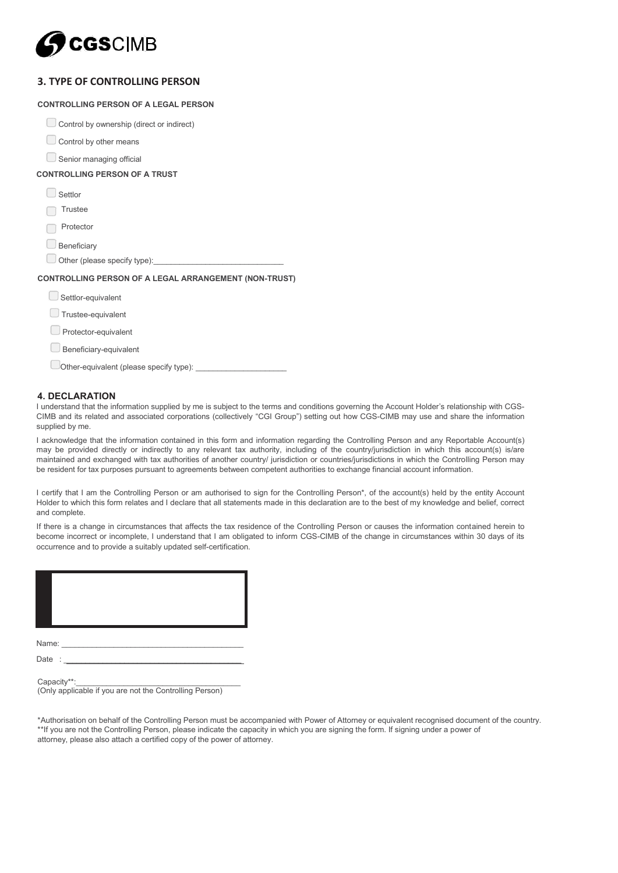

## **3. TYPE OF CONTROLLING PERSON**

## **CONTROLLING PERSON OF A LEGAL PERSON**

|                                      | Control by ownership (direct or indirect)                    |  |  |  |  |  |
|--------------------------------------|--------------------------------------------------------------|--|--|--|--|--|
|                                      | Control by other means                                       |  |  |  |  |  |
|                                      | Senior managing official                                     |  |  |  |  |  |
| <b>CONTROLLING PERSON OF A TRUST</b> |                                                              |  |  |  |  |  |
|                                      | Settlor                                                      |  |  |  |  |  |
|                                      | Trustee                                                      |  |  |  |  |  |
|                                      | Protector                                                    |  |  |  |  |  |
|                                      | Beneficiary                                                  |  |  |  |  |  |
|                                      |                                                              |  |  |  |  |  |
|                                      | Other (please specify type):                                 |  |  |  |  |  |
|                                      | <b>CONTROLLING PERSON OF A LEGAL ARRANGEMENT (NON-TRUST)</b> |  |  |  |  |  |
|                                      | Settlor-equivalent                                           |  |  |  |  |  |
|                                      | Trustee-equivalent                                           |  |  |  |  |  |
|                                      | Protector-equivalent                                         |  |  |  |  |  |
|                                      | Beneficiary-equivalent                                       |  |  |  |  |  |

Other-equivalent (please specify type): \_\_\_\_\_\_\_\_\_\_\_\_\_\_\_\_\_\_\_\_\_

## **4. DECLARATION**

I understand that the information supplied by me is subject to the terms and conditions governing the Account Holder's relationship with CGS-CIMB and its related and associated corporations (collectively "CGI Group") setting out how CGS-CIMB may use and share the information supplied by me.

I acknowledge that the information contained in this form and information regarding the Controlling Person and any Reportable Account(s) may be provided directly or indirectly to any relevant tax authority, including of the country/jurisdiction in which this account(s) is/are maintained and exchanged with tax authorities of another country/ jurisdiction or countries/jurisdictions in which the Controlling Person may be resident for tax purposes pursuant to agreements between competent authorities to exchange financial account information.

I certify that I am the Controlling Person or am authorised to sign for the Controlling Person\*, of the account(s) held by the entity Account Holder to which this form relates and I declare that all statements made in this declaration are to the best of my knowledge and belief, correct and complete.

If there is a change in circumstances that affects the tax residence of the Controlling Person or causes the information contained herein to become incorrect or incomplete, I understand that I am obligated to inform CGS-CIMB of the change in circumstances within 30 days of its occurrence and to provide a suitably updated self-certification.

Name:

Date :  $\Box$ 

Capacity\*\*:\_\_\_\_\_\_\_\_\_\_\_\_\_\_\_\_\_\_\_\_\_\_\_\_\_\_\_\_\_\_\_\_\_\_\_\_\_\_

(Only applicable if you are not the Controlling Person)

\*Authorisation on behalf of the Controlling Person must be accompanied with Power of Attorney or equivalent recognised document of the country. \*\*If you are not the Controlling Person, please indicate the capacity in which you are signing the form. If signing under a power of attorney, please also attach a certified copy of the power of attorney.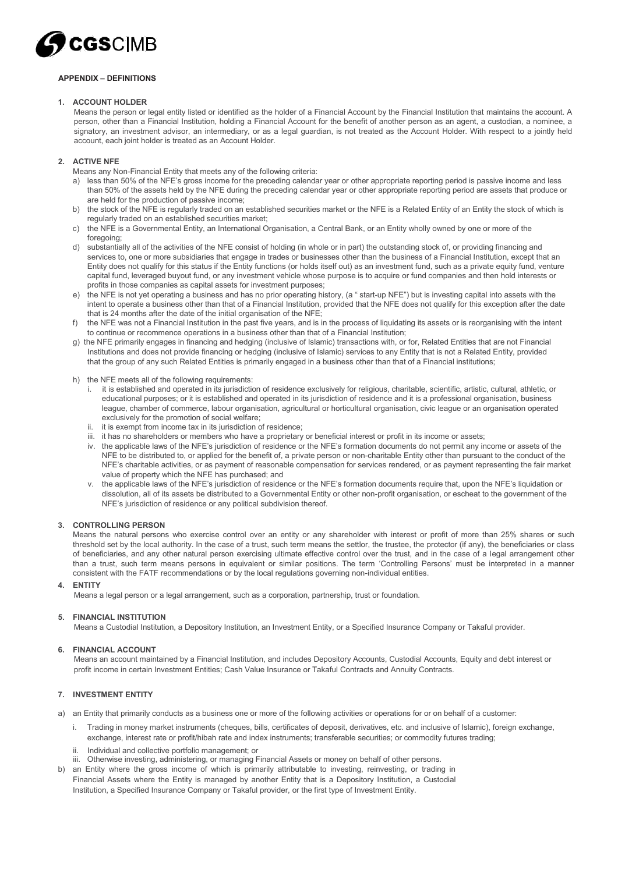

## **APPENDIX – DEFINITIONS**

#### **1. ACCOUNT HOLDER**

Means the person or legal entity listed or identified as the holder of a Financial Account by the Financial Institution that maintains the account. A person, other than a Financial Institution, holding a Financial Account for the benefit of another person as an agent, a custodian, a nominee, a signatory, an investment advisor, an intermediary, or as a legal guardian, is not treated as the Account Holder. With respect to a jointly held account, each joint holder is treated as an Account Holder.

## **2. ACTIVE NFE**

Means any Non-Financial Entity that meets any of the following criteria:

- a) less than 50% of the NFE's gross income for the preceding calendar year or other appropriate reporting period is passive income and less than 50% of the assets held by the NFE during the preceding calendar year or other appropriate reporting period are assets that produce or are held for the production of passive income;
- b) the stock of the NFE is regularly traded on an established securities market or the NFE is a Related Entity of an Entity the stock of which is regularly traded on an established securities market;
- c) the NFE is a Governmental Entity, an International Organisation, a Central Bank, or an Entity wholly owned by one or more of the foregoing;
- d) substantially all of the activities of the NFE consist of holding (in whole or in part) the outstanding stock of, or providing financing and services to, one or more subsidiaries that engage in trades or businesses other than the business of a Financial Institution, except that an Entity does not qualify for this status if the Entity functions (or holds itself out) as an investment fund, such as a private equity fund, venture capital fund, leveraged buyout fund, or any investment vehicle whose purpose is to acquire or fund companies and then hold interests or profits in those companies as capital assets for investment purposes;
- e) the NFE is not yet operating a business and has no prior operating history, (a " start-up NFE") but is investing capital into assets with the intent to operate a business other than that of a Financial Institution, provided that the NFE does not qualify for this exception after the date that is 24 months after the date of the initial organisation of the NFE;
- the NFE was not a Financial Institution in the past five years, and is in the process of liquidating its assets or is reorganising with the intent to continue or recommence operations in a business other than that of a Financial Institution;
- g) the NFE primarily engages in financing and hedging (inclusive of Islamic) transactions with, or for, Related Entities that are not Financial Institutions and does not provide financing or hedging (inclusive of Islamic) services to any Entity that is not a Related Entity, provided that the group of any such Related Entities is primarily engaged in a business other than that of a Financial institutions;
- h) the NFE meets all of the following requirements:
	- it is established and operated in its jurisdiction of residence exclusively for religious, charitable, scientific, artistic, cultural, athletic, or educational purposes; or it is established and operated in its jurisdiction of residence and it is a professional organisation, business league, chamber of commerce, labour organisation, agricultural or horticultural organisation, civic league or an organisation operated exclusively for the promotion of social welfare;
	- ii. it is exempt from income tax in its jurisdiction of residence;
	- iii. it has no shareholders or members who have a proprietary or beneficial interest or profit in its income or assets;
	- iv. the applicable laws of the NFE's jurisdiction of residence or the NFE's formation documents do not permit any income or assets of the NFE to be distributed to, or applied for the benefit of, a private person or non-charitable Entity other than pursuant to the conduct of the NFE's charitable activities, or as payment of reasonable compensation for services rendered, or as payment representing the fair market value of property which the NFE has purchased; and
	- v. the applicable laws of the NFE's jurisdiction of residence or the NFE's formation documents require that, upon the NFE's liquidation or dissolution, all of its assets be distributed to a Governmental Entity or other non-profit organisation, or escheat to the government of the NFE's jurisdiction of residence or any political subdivision thereof.

## **3. CONTROLLING PERSON**

Means the natural persons who exercise control over an entity or any shareholder with interest or profit of more than 25% shares or such threshold set by the local authority. In the case of a trust, such term means the settlor, the trustee, the protector (if any), the beneficiaries or class of beneficiaries, and any other natural person exercising ultimate effective control over the trust, and in the case of a legal arrangement other than a trust, such term means persons in equivalent or similar positions. The term 'Controlling Persons' must be interpreted in a manner consistent with the FATF recommendations or by the local regulations governing non-individual entities.

## **4. ENTITY**

Means a legal person or a legal arrangement, such as a corporation, partnership, trust or foundation.

## **5. FINANCIAL INSTITUTION**

Means a Custodial Institution, a Depository Institution, an Investment Entity, or a Specified Insurance Company or Takaful provider.

## **6. FINANCIAL ACCOUNT**

Means an account maintained by a Financial Institution, and includes Depository Accounts, Custodial Accounts, Equity and debt interest or profit income in certain Investment Entities; Cash Value Insurance or Takaful Contracts and Annuity Contracts.

## **7. INVESTMENT ENTITY**

a) an Entity that primarily conducts as a business one or more of the following activities or operations for or on behalf of a customer:

- i. Trading in money market instruments (cheques, bills, certificates of deposit, derivatives, etc. and inclusive of Islamic), foreign exchange, exchange, interest rate or profit/hibah rate and index instruments; transferable securities; or commodity futures trading;
- Individual and collective portfolio management; or
- iii. Otherwise investing, administering, or managing Financial Assets or money on behalf of other persons.
- b) an Entity where the gross income of which is primarily attributable to investing, reinvesting, or trading in Financial Assets where the Entity is managed by another Entity that is a Depository Institution, a Custodial Institution, a Specified Insurance Company or Takaful provider, or the first type of Investment Entity.